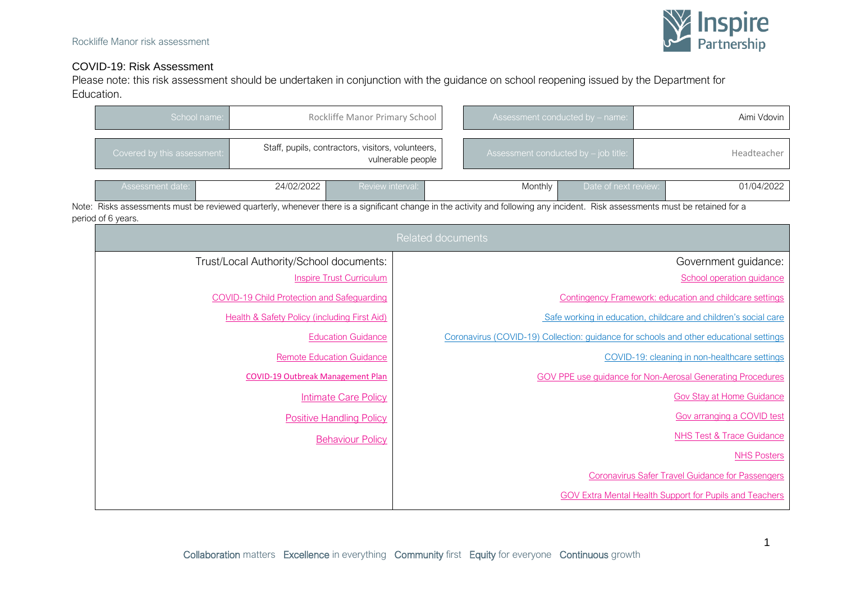

# COVID-19: Risk Assessment

Please note: this risk assessment should be undertaken in conjunction with the guidance on school reopening issued by the Department for Education.

| School name:                                                                                                                                                                                         | Rockliffe Manor Primary School                                                                                      |                                                   |                                                                 | Assessment conducted by - name: |                                      |                      | Aimi Vdovin |                                                            |  |
|------------------------------------------------------------------------------------------------------------------------------------------------------------------------------------------------------|---------------------------------------------------------------------------------------------------------------------|---------------------------------------------------|-----------------------------------------------------------------|---------------------------------|--------------------------------------|----------------------|-------------|------------------------------------------------------------|--|
| Covered by this assessment:                                                                                                                                                                          |                                                                                                                     | Staff, pupils, contractors, visitors, volunteers, | vulnerable people                                               |                                 | Assessment conducted by - job title: |                      |             | Headteacher                                                |  |
| Assessment date:                                                                                                                                                                                     | 24/02/2022                                                                                                          | Review interval:                                  |                                                                 |                                 | Monthly                              | Date of next review: |             | 01/04/2022                                                 |  |
| Note: Risks assessments must be reviewed quarterly, whenever there is a significant change in the activity and following any incident. Risk assessments must be retained for a<br>period of 6 years. |                                                                                                                     |                                                   |                                                                 |                                 |                                      |                      |             |                                                            |  |
|                                                                                                                                                                                                      |                                                                                                                     |                                                   | <b>Related documents</b>                                        |                                 |                                      |                      |             |                                                            |  |
|                                                                                                                                                                                                      | Trust/Local Authority/School documents:                                                                             |                                                   |                                                                 |                                 |                                      |                      |             | Government guidance:                                       |  |
|                                                                                                                                                                                                      |                                                                                                                     | <b>Inspire Trust Curriculum</b>                   | School operation guidance                                       |                                 |                                      |                      |             |                                                            |  |
|                                                                                                                                                                                                      | <b>COVID-19 Child Protection and Safeguarding</b>                                                                   |                                                   | <b>Contingency Framework: education and childcare settings</b>  |                                 |                                      |                      |             |                                                            |  |
|                                                                                                                                                                                                      | <b>Health &amp; Safety Policy (including First Aid)</b>                                                             |                                                   | Safe working in education, childcare and children's social care |                                 |                                      |                      |             |                                                            |  |
|                                                                                                                                                                                                      | Coronavirus (COVID-19) Collection: quidance for schools and other educational settings<br><b>Education Guidance</b> |                                                   |                                                                 |                                 |                                      |                      |             |                                                            |  |
|                                                                                                                                                                                                      |                                                                                                                     | <b>Remote Education Guidance</b>                  |                                                                 |                                 |                                      |                      |             | COVID-19: cleaning in non-healthcare settings              |  |
|                                                                                                                                                                                                      | <b>COVID-19 Outbreak Management Plan</b>                                                                            |                                                   |                                                                 |                                 |                                      |                      |             | GOV PPE use guidance for Non-Aerosal Generating Procedures |  |
|                                                                                                                                                                                                      |                                                                                                                     | <b>Intimate Care Policy</b>                       | <b>Gov Stay at Home Guidance</b>                                |                                 |                                      |                      |             |                                                            |  |
|                                                                                                                                                                                                      |                                                                                                                     | <b>Positive Handling Policy</b>                   |                                                                 |                                 |                                      |                      |             | Gov arranging a COVID test                                 |  |
|                                                                                                                                                                                                      |                                                                                                                     | <b>Behaviour Policy</b>                           |                                                                 |                                 |                                      |                      |             | <b>NHS Test &amp; Trace Guidance</b>                       |  |
|                                                                                                                                                                                                      |                                                                                                                     |                                                   |                                                                 |                                 |                                      |                      |             | <b>NHS Posters</b>                                         |  |
|                                                                                                                                                                                                      |                                                                                                                     |                                                   |                                                                 |                                 |                                      |                      |             | <b>Coronavirus Safer Travel Guidance for Passengers</b>    |  |
|                                                                                                                                                                                                      |                                                                                                                     |                                                   |                                                                 |                                 |                                      |                      |             | GOV Extra Mental Health Support for Pupils and Teachers    |  |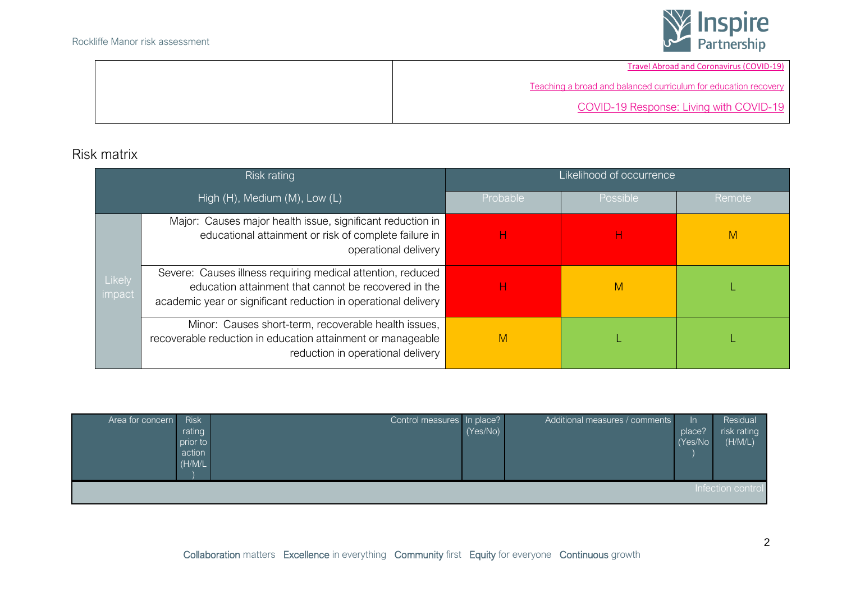

[Travel Abroad and Coronavirus \(COVID-19\)](https://www.gov.uk/guidance/travel-advice-novel-coronavirus)

[Teaching a broad and balanced curriculum for education recovery](https://assets.publishing.service.gov.uk/government/uploads/system/uploads/attachment_data/file/999590/Teaching_a_broad_and_balanced_curriculum_for_education_recovery.pdf)

[COVID-19 Response: Living with COVID-19](https://assets.publishing.service.gov.uk/government/uploads/system/uploads/attachment_data/file/1056229/COVID-19_Response_-_Living_with_COVID-19.pdf)

# Risk matrix

|                  | Risk rating                                                                                                                                                                           | Likelihood of occurrence |                 |        |  |  |  |
|------------------|---------------------------------------------------------------------------------------------------------------------------------------------------------------------------------------|--------------------------|-----------------|--------|--|--|--|
|                  | High (H), Medium (M), Low (L)                                                                                                                                                         | Probable                 | <b>Possible</b> | Remote |  |  |  |
|                  | Major: Causes major health issue, significant reduction in<br>educational attainment or risk of complete failure in<br>operational delivery                                           | н                        | н               | M      |  |  |  |
| Likely<br>impact | Severe: Causes illness requiring medical attention, reduced<br>education attainment that cannot be recovered in the<br>academic year or significant reduction in operational delivery | н                        | M               |        |  |  |  |
|                  | Minor: Causes short-term, recoverable health issues,<br>recoverable reduction in education attainment or manageable<br>reduction in operational delivery                              | M                        |                 |        |  |  |  |

| Area for concern  | <b>Risk</b><br>rating<br>prior to<br>action<br>(H/M/L) | Control measures In place? | (Yes/No) | Additional measures / comments | In.<br>place?<br>(Yes/No | Residual<br>risk rating<br>(H/M/L) |  |
|-------------------|--------------------------------------------------------|----------------------------|----------|--------------------------------|--------------------------|------------------------------------|--|
| Infection control |                                                        |                            |          |                                |                          |                                    |  |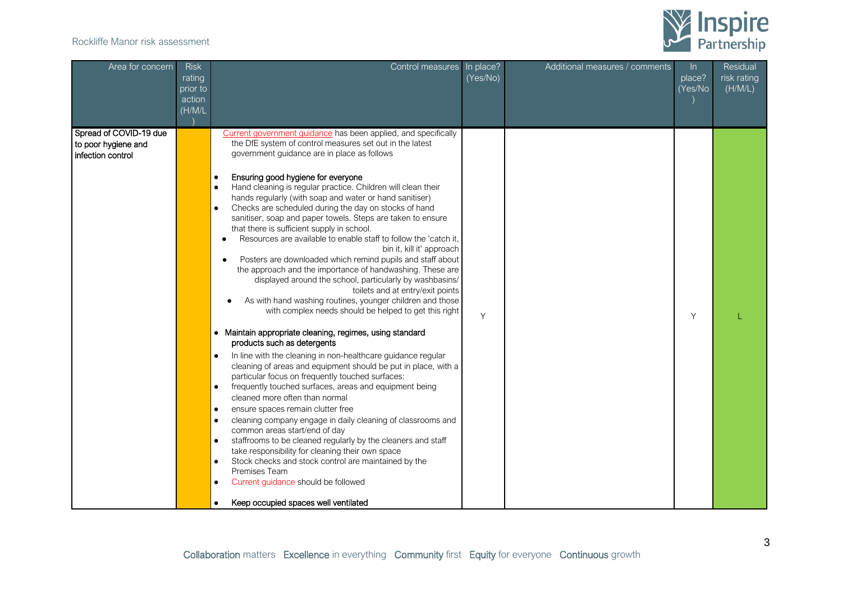

| Area for concern                                                   | <b>Risk</b><br>rating<br>prior to<br>action<br>(H/M/L) | Control measures                                                                                                                                                                                                                                                                                                                                                                                                                                                                                                                                                                                                                                                                                                                                                                                                                                                                                                                                                                                                                                                                                                                                                                                                                                                                                                                                                                                                                                                                                                                                                                                                                                                                                                                                                                                                                                                                                                | In place?<br>(Yes/No) | Additional measures / comments | $\ln$<br>place?<br>(Yes/No | Residual<br>risk rating<br>(H/M/L) |
|--------------------------------------------------------------------|--------------------------------------------------------|-----------------------------------------------------------------------------------------------------------------------------------------------------------------------------------------------------------------------------------------------------------------------------------------------------------------------------------------------------------------------------------------------------------------------------------------------------------------------------------------------------------------------------------------------------------------------------------------------------------------------------------------------------------------------------------------------------------------------------------------------------------------------------------------------------------------------------------------------------------------------------------------------------------------------------------------------------------------------------------------------------------------------------------------------------------------------------------------------------------------------------------------------------------------------------------------------------------------------------------------------------------------------------------------------------------------------------------------------------------------------------------------------------------------------------------------------------------------------------------------------------------------------------------------------------------------------------------------------------------------------------------------------------------------------------------------------------------------------------------------------------------------------------------------------------------------------------------------------------------------------------------------------------------------|-----------------------|--------------------------------|----------------------------|------------------------------------|
| Spread of COVID-19 due<br>to poor hygiene and<br>infection control |                                                        | Current government guidance has been applied, and specifically<br>the DfE system of control measures set out in the latest<br>government guidance are in place as follows<br>Ensuring good hygiene for everyone<br>$\bullet$<br>Hand cleaning is regular practice. Children will clean their<br>$\bullet$<br>hands regularly (with soap and water or hand sanitiser)<br>Checks are scheduled during the day on stocks of hand<br>$\bullet$<br>sanitiser, soap and paper towels. Steps are taken to ensure<br>that there is sufficient supply in school.<br>Resources are available to enable staff to follow the 'catch it,<br>$\bullet$<br>bin it, kill it' approach<br>Posters are downloaded which remind pupils and staff about<br>$\bullet$<br>the approach and the importance of handwashing. These are<br>displayed around the school, particularly by washbasins/<br>toilets and at entry/exit points<br>As with hand washing routines, younger children and those<br>with complex needs should be helped to get this right<br>• Maintain appropriate cleaning, regimes, using standard<br>products such as detergents<br>In line with the cleaning in non-healthcare guidance regular<br>cleaning of areas and equipment should be put in place, with a<br>particular focus on frequently touched surfaces:<br>frequently touched surfaces, areas and equipment being<br>$\bullet$<br>cleaned more often than normal<br>ensure spaces remain clutter free<br>$\bullet$<br>$\bullet$<br>cleaning company engage in daily cleaning of classrooms and<br>common areas start/end of day<br>staffrooms to be cleaned regularly by the cleaners and staff<br>$\bullet$<br>take responsibility for cleaning their own space<br>Stock checks and stock control are maintained by the<br>$\bullet$<br>Premises Team<br>Current guidance should be followed<br>$\bullet$<br>Keep occupied spaces well ventilated | Y                     |                                | Y                          |                                    |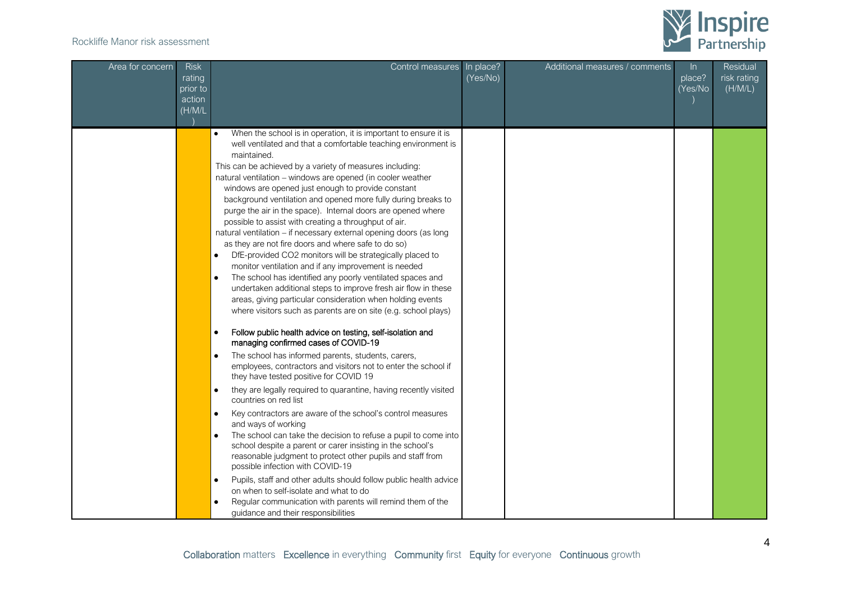

| Area for concern | <b>Risk</b><br>rating<br>prior to<br>action<br>(H/M/L) | Control measures                                                                                                                                                                                                                                                                                                                                                                                                                                                                                                                                                                                                                                                                                                                                                                                                                                                                                                                                                                                                                                                                                                                                                                                                                                                                                                                                                                                                                                                                                                                                                                                                                                                                                                                                                                                                                                                                                                                                                                                                                 | In place?<br>(Yes/No) | Additional measures / comments | $\ln$<br>place?<br>(Yes/No | Residual<br>risk rating<br>(H/M/L) |
|------------------|--------------------------------------------------------|----------------------------------------------------------------------------------------------------------------------------------------------------------------------------------------------------------------------------------------------------------------------------------------------------------------------------------------------------------------------------------------------------------------------------------------------------------------------------------------------------------------------------------------------------------------------------------------------------------------------------------------------------------------------------------------------------------------------------------------------------------------------------------------------------------------------------------------------------------------------------------------------------------------------------------------------------------------------------------------------------------------------------------------------------------------------------------------------------------------------------------------------------------------------------------------------------------------------------------------------------------------------------------------------------------------------------------------------------------------------------------------------------------------------------------------------------------------------------------------------------------------------------------------------------------------------------------------------------------------------------------------------------------------------------------------------------------------------------------------------------------------------------------------------------------------------------------------------------------------------------------------------------------------------------------------------------------------------------------------------------------------------------------|-----------------------|--------------------------------|----------------------------|------------------------------------|
|                  |                                                        | When the school is in operation, it is important to ensure it is<br>$\bullet$<br>well ventilated and that a comfortable teaching environment is<br>maintained.<br>This can be achieved by a variety of measures including:<br>natural ventilation - windows are opened (in cooler weather<br>windows are opened just enough to provide constant<br>background ventilation and opened more fully during breaks to<br>purge the air in the space). Internal doors are opened where<br>possible to assist with creating a throughput of air.<br>natural ventilation – if necessary external opening doors (as long<br>as they are not fire doors and where safe to do so)<br>DfE-provided CO2 monitors will be strategically placed to<br>monitor ventilation and if any improvement is needed<br>The school has identified any poorly ventilated spaces and<br>$\bullet$<br>undertaken additional steps to improve fresh air flow in these<br>areas, giving particular consideration when holding events<br>where visitors such as parents are on site (e.g. school plays)<br>Follow public health advice on testing, self-isolation and<br>$\bullet$<br>managing confirmed cases of COVID-19<br>The school has informed parents, students, carers,<br>$\bullet$<br>employees, contractors and visitors not to enter the school if<br>they have tested positive for COVID 19<br>they are legally required to quarantine, having recently visited<br>$\bullet$<br>countries on red list<br>Key contractors are aware of the school's control measures<br>$\bullet$<br>and ways of working<br>The school can take the decision to refuse a pupil to come into<br>$\bullet$<br>school despite a parent or carer insisting in the school's<br>reasonable judgment to protect other pupils and staff from<br>possible infection with COVID-19<br>Pupils, staff and other adults should follow public health advice<br>$\bullet$<br>on when to self-isolate and what to do<br>Regular communication with parents will remind them of the |                       |                                |                            |                                    |
|                  |                                                        | guidance and their responsibilities                                                                                                                                                                                                                                                                                                                                                                                                                                                                                                                                                                                                                                                                                                                                                                                                                                                                                                                                                                                                                                                                                                                                                                                                                                                                                                                                                                                                                                                                                                                                                                                                                                                                                                                                                                                                                                                                                                                                                                                              |                       |                                |                            |                                    |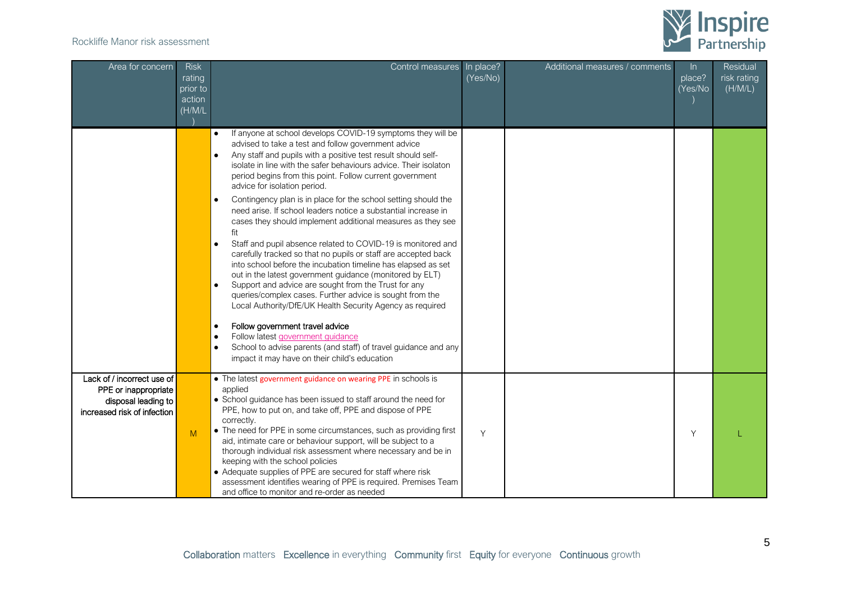

| Area for concern                                                                                         | <b>Risk</b><br>rating<br>prior to<br>action<br>(H/M/L) | Control measures                                                                                                                                                                                                                                                                                                                                                                                                                                                                                                                                                                                                                                                                                                                                                                                                                                                                                                                                                                                                                                                                                                                                                                                                                                                                                                  | In place?<br>(Yes/No) | Additional measures / comments | $\ln$<br>place?<br>(Yes/No | Residual<br>risk rating<br>(H/M/L) |
|----------------------------------------------------------------------------------------------------------|--------------------------------------------------------|-------------------------------------------------------------------------------------------------------------------------------------------------------------------------------------------------------------------------------------------------------------------------------------------------------------------------------------------------------------------------------------------------------------------------------------------------------------------------------------------------------------------------------------------------------------------------------------------------------------------------------------------------------------------------------------------------------------------------------------------------------------------------------------------------------------------------------------------------------------------------------------------------------------------------------------------------------------------------------------------------------------------------------------------------------------------------------------------------------------------------------------------------------------------------------------------------------------------------------------------------------------------------------------------------------------------|-----------------------|--------------------------------|----------------------------|------------------------------------|
|                                                                                                          |                                                        | If anyone at school develops COVID-19 symptoms they will be<br>$\bullet$<br>advised to take a test and follow government advice<br>Any staff and pupils with a positive test result should self-<br>$\bullet$<br>isolate in line with the safer behaviours advice. Their isolaton<br>period begins from this point. Follow current government<br>advice for isolation period.<br>Contingency plan is in place for the school setting should the<br>$\bullet$<br>need arise. If school leaders notice a substantial increase in<br>cases they should implement additional measures as they see<br>fit<br>Staff and pupil absence related to COVID-19 is monitored and<br>$\bullet$<br>carefully tracked so that no pupils or staff are accepted back<br>into school before the incubation timeline has elapsed as set<br>out in the latest government guidance (monitored by ELT)<br>Support and advice are sought from the Trust for any<br>$\bullet$<br>queries/complex cases. Further advice is sought from the<br>Local Authority/DfE/UK Health Security Agency as required<br>Follow government travel advice<br>$\bullet$<br>Follow latest government guidance<br>$\bullet$<br>School to advise parents (and staff) of travel guidance and any<br>$\bullet$<br>impact it may have on their child's education |                       |                                |                            |                                    |
| Lack of / incorrect use of<br>PPE or inappropriate<br>disposal leading to<br>increased risk of infection | M                                                      | • The latest government guidance on wearing PPE in schools is<br>applied<br>• School guidance has been issued to staff around the need for<br>PPE, how to put on, and take off, PPE and dispose of PPE<br>correctly.<br>• The need for PPE in some circumstances, such as providing first<br>aid, intimate care or behaviour support, will be subject to a<br>thorough individual risk assessment where necessary and be in<br>keeping with the school policies<br>• Adequate supplies of PPE are secured for staff where risk<br>assessment identifies wearing of PPE is required. Premises Team<br>and office to monitor and re-order as needed                                                                                                                                                                                                                                                                                                                                                                                                                                                                                                                                                                                                                                                                 | Y                     |                                | Y                          |                                    |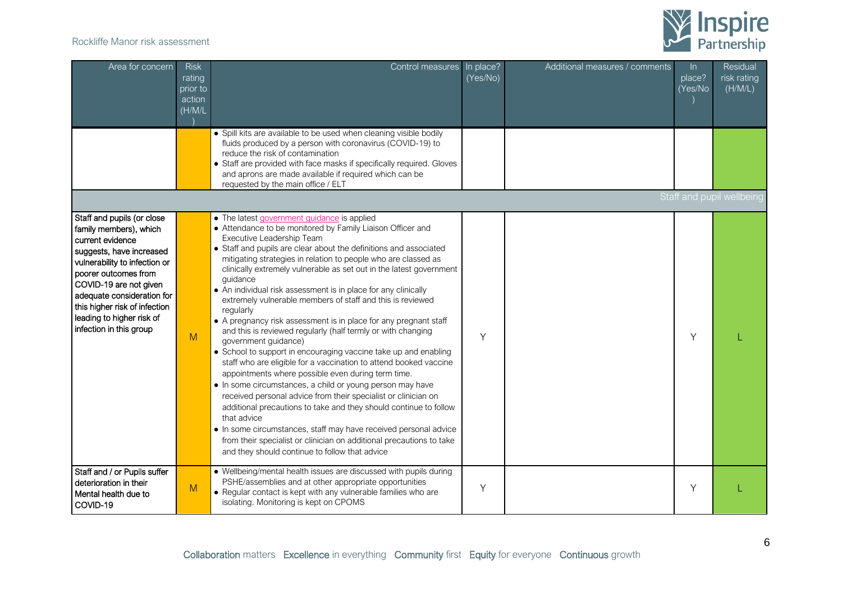

| Area for concern                                                                                                                                                                                                                                                                                               | <b>Risk</b><br>rating<br>prior to<br>action<br>(H/M/L) | Control measures                                                                                                                                                                                                                                                                                                                                                                                                                                                                                                                                                                                                                                                                                                                                                                                                                                                                                                                                                                                                                                                                                                                                                                                                                                                                         | In place?<br>(Yes/No) | Additional measures / comments | $\ln$<br>place?<br>(Yes/No | Residual<br>risk rating<br>(H/M/L) |
|----------------------------------------------------------------------------------------------------------------------------------------------------------------------------------------------------------------------------------------------------------------------------------------------------------------|--------------------------------------------------------|------------------------------------------------------------------------------------------------------------------------------------------------------------------------------------------------------------------------------------------------------------------------------------------------------------------------------------------------------------------------------------------------------------------------------------------------------------------------------------------------------------------------------------------------------------------------------------------------------------------------------------------------------------------------------------------------------------------------------------------------------------------------------------------------------------------------------------------------------------------------------------------------------------------------------------------------------------------------------------------------------------------------------------------------------------------------------------------------------------------------------------------------------------------------------------------------------------------------------------------------------------------------------------------|-----------------------|--------------------------------|----------------------------|------------------------------------|
|                                                                                                                                                                                                                                                                                                                |                                                        | • Spill kits are available to be used when cleaning visible bodily<br>fluids produced by a person with coronavirus (COVID-19) to<br>reduce the risk of contamination<br>• Staff are provided with face masks if specifically required. Gloves<br>and aprons are made available if required which can be<br>requested by the main office / ELT                                                                                                                                                                                                                                                                                                                                                                                                                                                                                                                                                                                                                                                                                                                                                                                                                                                                                                                                            |                       |                                |                            |                                    |
|                                                                                                                                                                                                                                                                                                                |                                                        |                                                                                                                                                                                                                                                                                                                                                                                                                                                                                                                                                                                                                                                                                                                                                                                                                                                                                                                                                                                                                                                                                                                                                                                                                                                                                          |                       |                                |                            | Staff and pupil wellbeing          |
| Staff and pupils (or close<br>family members), which<br>current evidence<br>suggests, have increased<br>vulnerability to infection or<br>poorer outcomes from<br>COVID-19 are not given<br>adequate consideration for<br>this higher risk of infection<br>leading to higher risk of<br>infection in this group | M                                                      | • The latest government guidance is applied<br>• Attendance to be monitored by Family Liaison Officer and<br>Executive Leadership Team<br>• Staff and pupils are clear about the definitions and associated<br>mitigating strategies in relation to people who are classed as<br>clinically extremely vulnerable as set out in the latest government<br>quidance<br>• An individual risk assessment is in place for any clinically<br>extremely vulnerable members of staff and this is reviewed<br>regularly<br>• A pregnancy risk assessment is in place for any pregnant staff<br>and this is reviewed regularly (half termly or with changing<br>government guidance)<br>• School to support in encouraging vaccine take up and enabling<br>staff who are eligible for a vaccination to attend booked vaccine<br>appointments where possible even during term time.<br>• In some circumstances, a child or young person may have<br>received personal advice from their specialist or clinician on<br>additional precautions to take and they should continue to follow<br>that advice<br>• In some circumstances, staff may have received personal advice<br>from their specialist or clinician on additional precautions to take<br>and they should continue to follow that advice | Y                     |                                | Y                          |                                    |
| Staff and / or Pupils suffer<br>deterioration in their<br>Mental health due to<br>COVID-19                                                                                                                                                                                                                     | M                                                      | • Wellbeing/mental health issues are discussed with pupils during<br>PSHE/assemblies and at other appropriate opportunities<br>• Regular contact is kept with any vulnerable families who are<br>isolating. Monitoring is kept on CPOMS                                                                                                                                                                                                                                                                                                                                                                                                                                                                                                                                                                                                                                                                                                                                                                                                                                                                                                                                                                                                                                                  | Y                     |                                | Υ                          |                                    |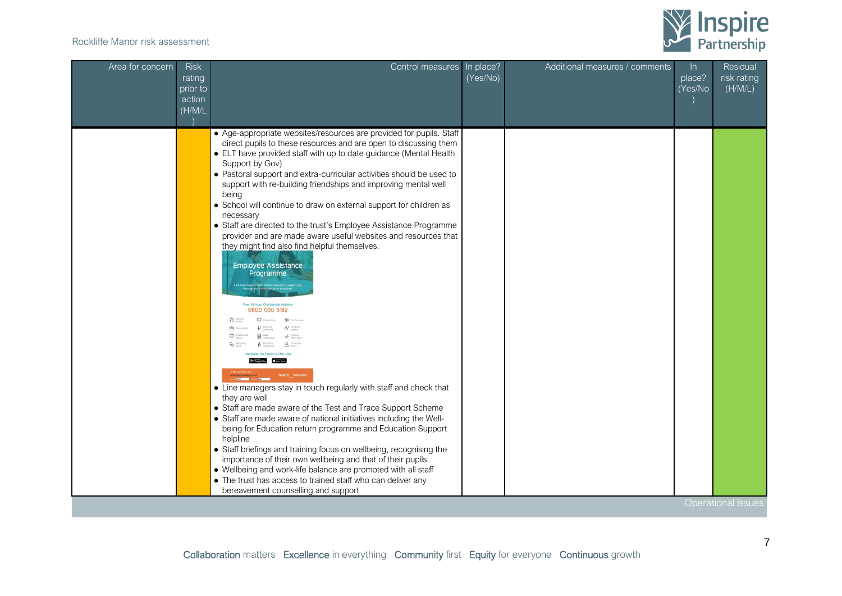

| Area for concern | <b>Risk</b><br>rating<br>prior to<br>action<br>(H/M/L) | Control measures                                                                                                                                                                                                                                                                                                                                                                                                                                                                                                                                                                                                                                                                                                                                                                                                                                                                                                                                                                                                                                                                                                                                                                                                                                                                                                                                                                                                                                                                                                                   | In place?<br>(Yes/No) | Additional measures / comments | In.<br>place?<br>(Yes/No | Residual<br>risk rating<br>(H/M/L) |
|------------------|--------------------------------------------------------|------------------------------------------------------------------------------------------------------------------------------------------------------------------------------------------------------------------------------------------------------------------------------------------------------------------------------------------------------------------------------------------------------------------------------------------------------------------------------------------------------------------------------------------------------------------------------------------------------------------------------------------------------------------------------------------------------------------------------------------------------------------------------------------------------------------------------------------------------------------------------------------------------------------------------------------------------------------------------------------------------------------------------------------------------------------------------------------------------------------------------------------------------------------------------------------------------------------------------------------------------------------------------------------------------------------------------------------------------------------------------------------------------------------------------------------------------------------------------------------------------------------------------------|-----------------------|--------------------------------|--------------------------|------------------------------------|
|                  |                                                        | • Age-appropriate websites/resources are provided for pupils. Staff<br>direct pupils to these resources and are open to discussing them<br>• ELT have provided staff with up to date guidance (Mental Health<br>Support by Gov)<br>• Pastoral support and extra-curricular activities should be used to<br>support with re-building friendships and improving mental well<br>being<br>• School will continue to draw on external support for children as<br>necessary<br>• Staff are directed to the trust's Employee Assistance Programme<br>provider and are made aware useful websites and resources that<br>they might find also find helpful themselves.<br><b>Employee Assistance</b><br>Programme<br>0800 030 5182<br><b>BB</b> Firmly tour<br>& Childraw<br>-A Medical<br><b>8</b> Corpus<br>$A$ Alcohol b<br>and the Health e-Hub now<br>Google Play & App Store<br><b>the many of the first passured</b><br>• Line managers stay in touch regularly with staff and check that<br>they are well<br>• Staff are made aware of the Test and Trace Support Scheme<br>• Staff are made aware of national initiatives including the Well-<br>being for Education return programme and Education Support<br>helpline<br>• Staff briefings and training focus on wellbeing, recognising the<br>importance of their own wellbeing and that of their pupils<br>• Wellbeing and work-life balance are promoted with all staff<br>• The trust has access to trained staff who can deliver any<br>bereavement counselling and support |                       |                                |                          | <b>Operational issues</b>          |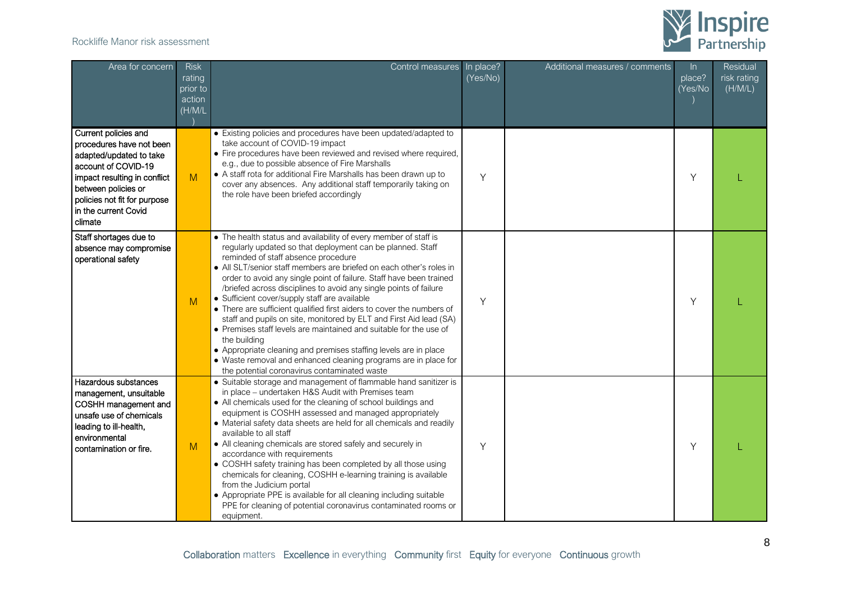

| Area for concern                                                                                                                                                                                                             | <b>Risk</b><br>rating<br>prior to<br>action<br>(H/M/L) | Control measures                                                                                                                                                                                                                                                                                                                                                                                                                                                                                                                                                                                                                                                                                                                                                                                                                                                      | In place?<br>(Yes/No) | Additional measures / comments | In.<br>place?<br>(Yes/No | Residual<br>risk rating<br>(H/M/L) |
|------------------------------------------------------------------------------------------------------------------------------------------------------------------------------------------------------------------------------|--------------------------------------------------------|-----------------------------------------------------------------------------------------------------------------------------------------------------------------------------------------------------------------------------------------------------------------------------------------------------------------------------------------------------------------------------------------------------------------------------------------------------------------------------------------------------------------------------------------------------------------------------------------------------------------------------------------------------------------------------------------------------------------------------------------------------------------------------------------------------------------------------------------------------------------------|-----------------------|--------------------------------|--------------------------|------------------------------------|
| Current policies and<br>procedures have not been<br>adapted/updated to take<br>account of COVID-19<br>impact resulting in conflict<br>between policies or<br>policies not fit for purpose<br>in the current Covid<br>climate | M                                                      | • Existing policies and procedures have been updated/adapted to<br>take account of COVID-19 impact<br>• Fire procedures have been reviewed and revised where required,<br>e.g., due to possible absence of Fire Marshalls<br>• A staff rota for additional Fire Marshalls has been drawn up to<br>cover any absences. Any additional staff temporarily taking on<br>the role have been briefed accordingly                                                                                                                                                                                                                                                                                                                                                                                                                                                            | Y                     |                                | Y                        |                                    |
| Staff shortages due to<br>absence may compromise<br>operational safety                                                                                                                                                       | M                                                      | • The health status and availability of every member of staff is<br>regularly updated so that deployment can be planned. Staff<br>reminded of staff absence procedure<br>• All SLT/senior staff members are briefed on each other's roles in<br>order to avoid any single point of failure. Staff have been trained<br>/briefed across disciplines to avoid any single points of failure<br>• Sufficient cover/supply staff are available<br>• There are sufficient qualified first aiders to cover the numbers of<br>staff and pupils on site, monitored by ELT and First Aid lead (SA)<br>• Premises staff levels are maintained and suitable for the use of<br>the building<br>• Appropriate cleaning and premises staffing levels are in place<br>• Waste removal and enhanced cleaning programs are in place for<br>the potential coronavirus contaminated waste | Υ                     |                                | Υ                        |                                    |
| Hazardous substances<br>management, unsuitable<br>COSHH management and<br>unsafe use of chemicals<br>leading to ill-health,<br>environmental<br>contamination or fire.                                                       | M                                                      | • Suitable storage and management of flammable hand sanitizer is<br>in place - undertaken H&S Audit with Premises team<br>• All chemicals used for the cleaning of school buildings and<br>equipment is COSHH assessed and managed appropriately<br>• Material safety data sheets are held for all chemicals and readily<br>available to all staff<br>• All cleaning chemicals are stored safely and securely in<br>accordance with requirements<br>• COSHH safety training has been completed by all those using<br>chemicals for cleaning, COSHH e-learning training is available<br>from the Judicium portal<br>• Appropriate PPE is available for all cleaning including suitable<br>PPE for cleaning of potential coronavirus contaminated rooms or<br>equipment.                                                                                                | Y                     |                                | Y                        |                                    |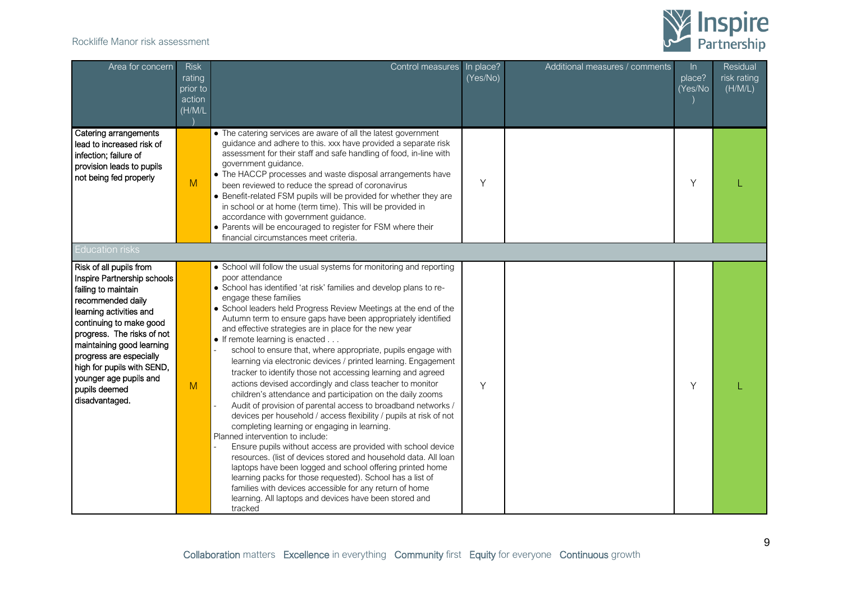

| Area for concern                                                                                                                                                                                                                                                                                                                          | <b>Risk</b><br>rating<br>prior to<br>action<br>(H/M/L) | Control measures                                                                                                                                                                                                                                                                                                                                                                                                                                                                                                                                                                                                                                                                                                                                                                                                                                                                                                                                                                                                                                                                                                                                                                                                                                                                                                                                                            | In place?<br>(Yes/No) | Additional measures / comments | $\ln$<br>place?<br>(Yes/No | Residual<br>risk rating<br>(H/M/L) |
|-------------------------------------------------------------------------------------------------------------------------------------------------------------------------------------------------------------------------------------------------------------------------------------------------------------------------------------------|--------------------------------------------------------|-----------------------------------------------------------------------------------------------------------------------------------------------------------------------------------------------------------------------------------------------------------------------------------------------------------------------------------------------------------------------------------------------------------------------------------------------------------------------------------------------------------------------------------------------------------------------------------------------------------------------------------------------------------------------------------------------------------------------------------------------------------------------------------------------------------------------------------------------------------------------------------------------------------------------------------------------------------------------------------------------------------------------------------------------------------------------------------------------------------------------------------------------------------------------------------------------------------------------------------------------------------------------------------------------------------------------------------------------------------------------------|-----------------------|--------------------------------|----------------------------|------------------------------------|
| Catering arrangements<br>lead to increased risk of<br>infection; failure of<br>provision leads to pupils<br>not being fed properly                                                                                                                                                                                                        | M                                                      | • The catering services are aware of all the latest government<br>guidance and adhere to this. xxx have provided a separate risk<br>assessment for their staff and safe handling of food, in-line with<br>government guidance.<br>• The HACCP processes and waste disposal arrangements have<br>been reviewed to reduce the spread of coronavirus<br>• Benefit-related FSM pupils will be provided for whether they are<br>in school or at home (term time). This will be provided in<br>accordance with government guidance.<br>• Parents will be encouraged to register for FSM where their<br>financial circumstances meet criteria.                                                                                                                                                                                                                                                                                                                                                                                                                                                                                                                                                                                                                                                                                                                                     | Y                     |                                | Υ                          |                                    |
| <b>Education risks</b>                                                                                                                                                                                                                                                                                                                    |                                                        |                                                                                                                                                                                                                                                                                                                                                                                                                                                                                                                                                                                                                                                                                                                                                                                                                                                                                                                                                                                                                                                                                                                                                                                                                                                                                                                                                                             |                       |                                |                            |                                    |
| Risk of all pupils from<br>Inspire Partnership schools<br>failing to maintain<br>recommended daily<br>learning activities and<br>continuing to make good<br>progress. The risks of not<br>maintaining good learning<br>progress are especially<br>high for pupils with SEND,<br>younger age pupils and<br>pupils deemed<br>disadvantaged. | M                                                      | • School will follow the usual systems for monitoring and reporting<br>poor attendance<br>• School has identified 'at risk' families and develop plans to re-<br>engage these families<br>• School leaders held Progress Review Meetings at the end of the<br>Autumn term to ensure gaps have been appropriately identified<br>and effective strategies are in place for the new year<br>• If remote learning is enacted<br>school to ensure that, where appropriate, pupils engage with<br>learning via electronic devices / printed learning. Engagement<br>tracker to identify those not accessing learning and agreed<br>actions devised accordingly and class teacher to monitor<br>children's attendance and participation on the daily zooms<br>Audit of provision of parental access to broadband networks /<br>devices per household / access flexibility / pupils at risk of not<br>completing learning or engaging in learning.<br>Planned intervention to include:<br>Ensure pupils without access are provided with school device<br>resources. (list of devices stored and household data. All loan<br>laptops have been logged and school offering printed home<br>learning packs for those requested). School has a list of<br>families with devices accessible for any return of home<br>learning. All laptops and devices have been stored and<br>tracked | Y                     |                                | Υ                          |                                    |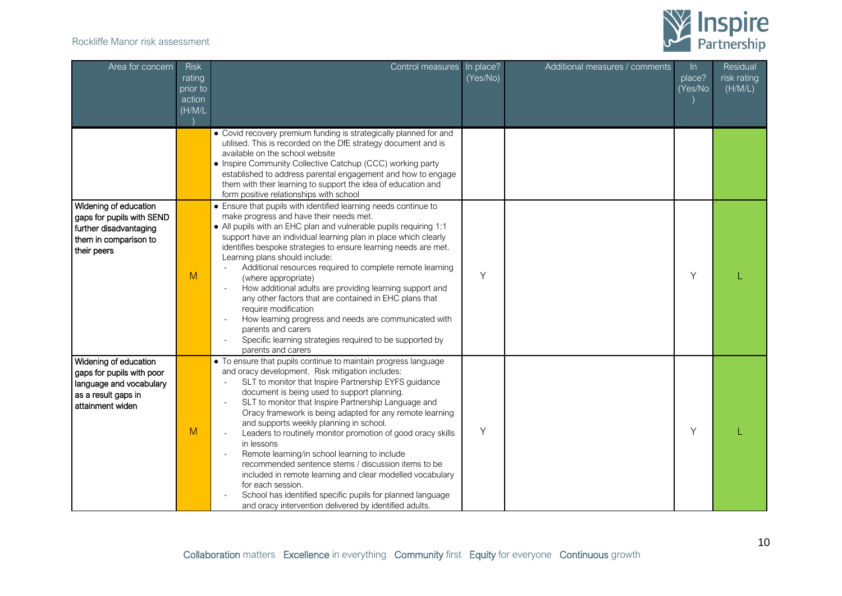

| Area for concern                                                                                                         | <b>Risk</b><br>rating<br>prior to<br>action<br>(H/M/L) | Control measures                                                                                                                                                                                                                                                                                                                                                                                                                                                                                                                                                                                                                                                                                                                                                                                                     | In place?<br>(Yes/No) | Additional measures / comments | $\ln$<br>place?<br>(Yes/No | Residual<br>risk rating<br>(H/M/L) |
|--------------------------------------------------------------------------------------------------------------------------|--------------------------------------------------------|----------------------------------------------------------------------------------------------------------------------------------------------------------------------------------------------------------------------------------------------------------------------------------------------------------------------------------------------------------------------------------------------------------------------------------------------------------------------------------------------------------------------------------------------------------------------------------------------------------------------------------------------------------------------------------------------------------------------------------------------------------------------------------------------------------------------|-----------------------|--------------------------------|----------------------------|------------------------------------|
|                                                                                                                          |                                                        | • Covid recovery premium funding is strategically planned for and<br>utilised. This is recorded on the DfE strategy document and is<br>available on the school website<br>• Inspire Community Collective Catchup (CCC) working party<br>established to address parental engagement and how to engage<br>them with their learning to support the idea of education and<br>form positive relationships with school                                                                                                                                                                                                                                                                                                                                                                                                     |                       |                                |                            |                                    |
| Widening of education<br>gaps for pupils with SEND<br>further disadvantaging<br>them in comparison to<br>their peers     | M                                                      | • Ensure that pupils with identified learning needs continue to<br>make progress and have their needs met.<br>• All pupils with an EHC plan and vulnerable pupils requiring 1:1<br>support have an individual learning plan in place which clearly<br>identifies bespoke strategies to ensure learning needs are met.<br>Learning plans should include:<br>Additional resources required to complete remote learning<br>(where appropriate)<br>How additional adults are providing learning support and<br>any other factors that are contained in EHC plans that<br>require modification<br>How learning progress and needs are communicated with<br>parents and carers<br>Specific learning strategies required to be supported by<br>parents and carers                                                           | Y                     |                                | Υ                          |                                    |
| Widening of education<br>gaps for pupils with poor<br>language and vocabulary<br>as a result gaps in<br>attainment widen | M                                                      | • To ensure that pupils continue to maintain progress language<br>and oracy development. Risk mitigation includes:<br>SLT to monitor that Inspire Partnership EYFS guidance<br>document is being used to support planning.<br>SLT to monitor that Inspire Partnership Language and<br>$\overline{\phantom{a}}$<br>Oracy framework is being adapted for any remote learning<br>and supports weekly planning in school.<br>Leaders to routinely monitor promotion of good oracy skills<br>in lessons<br>Remote learning/in school learning to include<br>recommended sentence stems / discussion items to be<br>included in remote learning and clear modelled vocabulary<br>for each session.<br>School has identified specific pupils for planned language<br>and oracy intervention delivered by identified adults. | Υ                     |                                | Υ                          |                                    |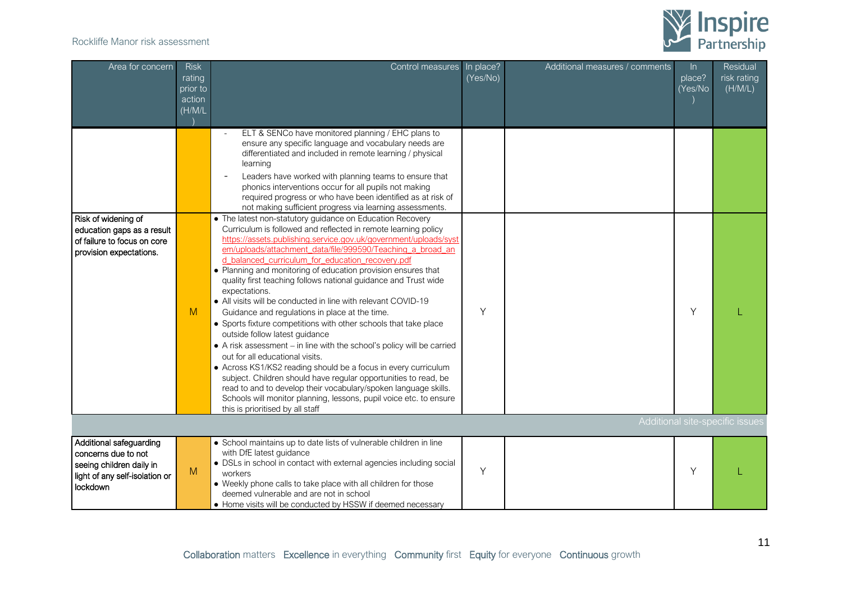

| Area for concern                                                                                                         | <b>Risk</b><br>rating<br>prior to<br>action<br>(H/M/L) | Control measures                                                                                                                                                                                                                                                                                                                                                                                                                                                                                                                                                                                                                                                                                                                                                                                                                                                                                                                                                                                                                                                                                                               | In place?<br>(Yes/No) | Additional measures / comments | $\ln$<br>place?<br>(Yes/No | Residual<br>risk rating<br>(H/M/L) |
|--------------------------------------------------------------------------------------------------------------------------|--------------------------------------------------------|--------------------------------------------------------------------------------------------------------------------------------------------------------------------------------------------------------------------------------------------------------------------------------------------------------------------------------------------------------------------------------------------------------------------------------------------------------------------------------------------------------------------------------------------------------------------------------------------------------------------------------------------------------------------------------------------------------------------------------------------------------------------------------------------------------------------------------------------------------------------------------------------------------------------------------------------------------------------------------------------------------------------------------------------------------------------------------------------------------------------------------|-----------------------|--------------------------------|----------------------------|------------------------------------|
|                                                                                                                          |                                                        | ELT & SENCo have monitored planning / EHC plans to<br>ensure any specific language and vocabulary needs are<br>differentiated and included in remote learning / physical<br>learning<br>Leaders have worked with planning teams to ensure that<br>phonics interventions occur for all pupils not making<br>required progress or who have been identified as at risk of<br>not making sufficient progress via learning assessments.                                                                                                                                                                                                                                                                                                                                                                                                                                                                                                                                                                                                                                                                                             |                       |                                |                            |                                    |
| Risk of widening of<br>education gaps as a result<br>of failure to focus on core<br>provision expectations.              | M                                                      | • The latest non-statutory guidance on Education Recovery<br>Curriculum is followed and reflected in remote learning policy<br>https://assets.publishing.service.gov.uk/government/uploads/syst<br>em/uploads/attachment_data/file/999590/Teaching_a_broad_an<br>d balanced curriculum for education recovery.pdf<br>• Planning and monitoring of education provision ensures that<br>quality first teaching follows national guidance and Trust wide<br>expectations.<br>• All visits will be conducted in line with relevant COVID-19<br>Guidance and regulations in place at the time.<br>• Sports fixture competitions with other schools that take place<br>outside follow latest guidance<br>• A risk assessment – in line with the school's policy will be carried<br>out for all educational visits.<br>• Across KS1/KS2 reading should be a focus in every curriculum<br>subject. Children should have regular opportunities to read, be<br>read to and to develop their vocabulary/spoken language skills.<br>Schools will monitor planning, lessons, pupil voice etc. to ensure<br>this is prioritised by all staff | Υ                     |                                | Υ                          |                                    |
|                                                                                                                          |                                                        |                                                                                                                                                                                                                                                                                                                                                                                                                                                                                                                                                                                                                                                                                                                                                                                                                                                                                                                                                                                                                                                                                                                                |                       |                                |                            | Additional site-specific issues    |
| Additional safeguarding<br>concerns due to not<br>seeing children daily in<br>light of any self-isolation or<br>lockdown | M                                                      | • School maintains up to date lists of vulnerable children in line<br>with DfE latest guidance<br>• DSLs in school in contact with external agencies including social<br>workers<br>• Weekly phone calls to take place with all children for those<br>deemed vulnerable and are not in school<br>• Home visits will be conducted by HSSW if deemed necessary                                                                                                                                                                                                                                                                                                                                                                                                                                                                                                                                                                                                                                                                                                                                                                   | Υ                     |                                | Υ                          |                                    |